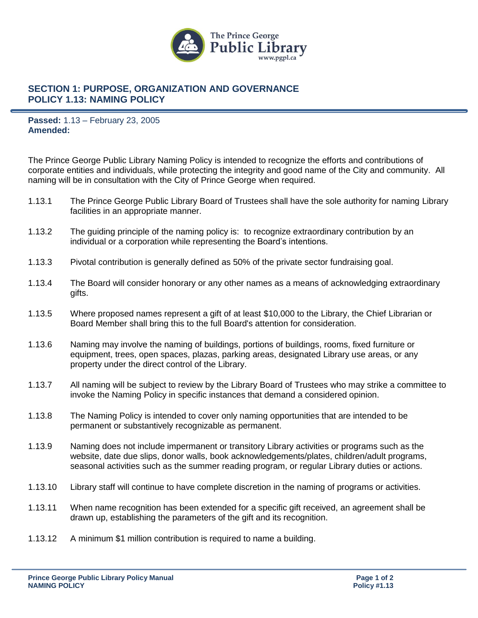

## **SECTION 1: PURPOSE, ORGANIZATION AND GOVERNANCE POLICY 1.13: NAMING POLICY**

**Passed:** 1.13 – February 23, 2005 **Amended:**

The Prince George Public Library Naming Policy is intended to recognize the efforts and contributions of corporate entities and individuals, while protecting the integrity and good name of the City and community. All naming will be in consultation with the City of Prince George when required.

- 1.13.1 The Prince George Public Library Board of Trustees shall have the sole authority for naming Library facilities in an appropriate manner.
- 1.13.2 The guiding principle of the naming policy is: to recognize extraordinary contribution by an individual or a corporation while representing the Board's intentions.
- 1.13.3 Pivotal contribution is generally defined as 50% of the private sector fundraising goal.
- 1.13.4 The Board will consider honorary or any other names as a means of acknowledging extraordinary gifts.
- 1.13.5 Where proposed names represent a gift of at least \$10,000 to the Library, the Chief Librarian or Board Member shall bring this to the full Board's attention for consideration.
- 1.13.6 Naming may involve the naming of buildings, portions of buildings, rooms, fixed furniture or equipment, trees, open spaces, plazas, parking areas, designated Library use areas, or any property under the direct control of the Library.
- 1.13.7 All naming will be subject to review by the Library Board of Trustees who may strike a committee to invoke the Naming Policy in specific instances that demand a considered opinion.
- 1.13.8 The Naming Policy is intended to cover only naming opportunities that are intended to be permanent or substantively recognizable as permanent.
- 1.13.9 Naming does not include impermanent or transitory Library activities or programs such as the website, date due slips, donor walls, book acknowledgements/plates, children/adult programs, seasonal activities such as the summer reading program, or regular Library duties or actions.
- 1.13.10 Library staff will continue to have complete discretion in the naming of programs or activities.
- 1.13.11 When name recognition has been extended for a specific gift received, an agreement shall be drawn up, establishing the parameters of the gift and its recognition.
- 1.13.12 A minimum \$1 million contribution is required to name a building.